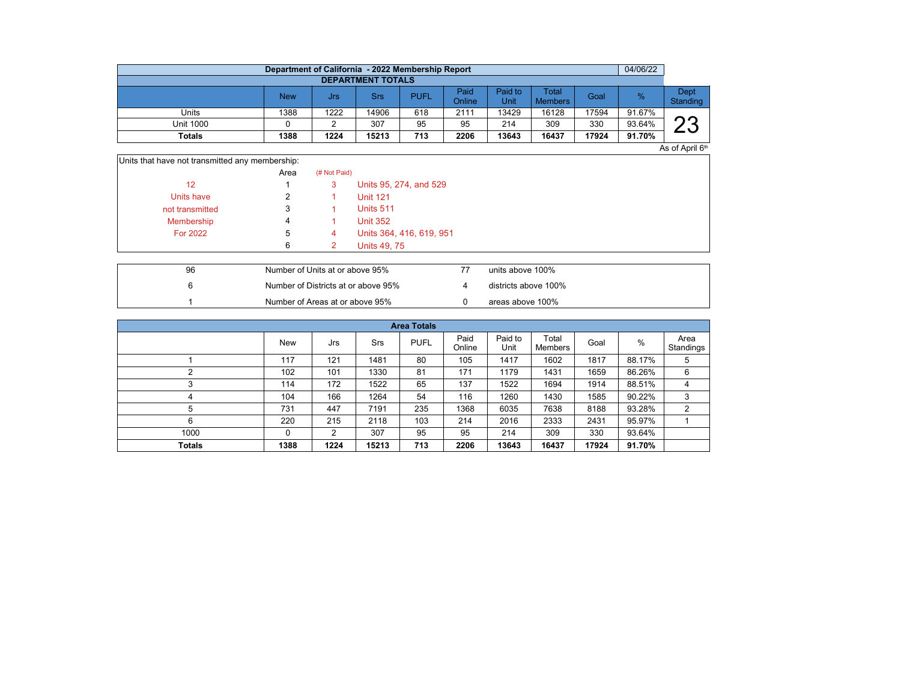|                          | Department of California - 2022 Membership Report |      |       |             |                |                 |                         |       | 04/06/22 |                  |  |  |  |  |
|--------------------------|---------------------------------------------------|------|-------|-------------|----------------|-----------------|-------------------------|-------|----------|------------------|--|--|--|--|
| <b>DEPARTMENT TOTALS</b> |                                                   |      |       |             |                |                 |                         |       |          |                  |  |  |  |  |
|                          | <b>New</b>                                        | Jrs  | Srs   | <b>PUFL</b> | Paid<br>Online | Paid to<br>Unit | Total<br><b>Members</b> | Goal  | $\%$     | Dept<br>Standing |  |  |  |  |
| Units                    | 1388                                              | 1222 | 14906 | 618         | 2111           | 13429           | 16128                   | 17594 | 91.67%   |                  |  |  |  |  |
| Unit 1000                |                                                   |      | 307   | 95          | 95             | 214             | 309                     | 330   | 93.64%   | ດດ               |  |  |  |  |
| Totals                   | 1388                                              | 1224 | 15213 | 713         | 2206           | 13643           | 16437                   | 17924 | 91.70%   | - -              |  |  |  |  |

 $As$  of April  $6<sup>th</sup>$ 

| Units that have not transmitted any membership: |      |              |                          |
|-------------------------------------------------|------|--------------|--------------------------|
|                                                 | Area | (# Not Paid) |                          |
| 12                                              |      | 3            | Units 95, 274, and 529   |
| Units have                                      | 2    |              | <b>Unit 121</b>          |
| not transmitted                                 | 3    |              | Units 511                |
| Membership                                      | 4    |              | <b>Unit 352</b>          |
| <b>For 2022</b>                                 | 5    | 4            | Units 364, 416, 619, 951 |
|                                                 | 6    |              | <b>Units 49, 75</b>      |
|                                                 |      |              |                          |

| 96 | Number of Units at or above 95%     | units above 100%     |
|----|-------------------------------------|----------------------|
|    | Number of Districts at or above 95% | districts above 100% |
|    | Number of Areas at or above 95%     | areas above 100%     |

|               | <b>Area Totals</b> |      |       |             |                |                 |                  |       |        |                   |  |  |  |
|---------------|--------------------|------|-------|-------------|----------------|-----------------|------------------|-------|--------|-------------------|--|--|--|
|               | <b>New</b>         | Jrs  | Srs   | <b>PUFL</b> | Paid<br>Online | Paid to<br>Unit | Total<br>Members | Goal  | %      | Area<br>Standings |  |  |  |
|               | 117                | 121  | 1481  | 80          | 105            | 1417            | 1602             | 1817  | 88.17% | 5                 |  |  |  |
|               | 102                | 101  | 1330  | 81          | 171            | 1179            | 1431             | 1659  | 86.26% | 6                 |  |  |  |
| 3             | 114                | 172  | 1522  | 65          | 137            | 1522            | 1694             | 1914  | 88.51% | 4                 |  |  |  |
| 4             | 104                | 166  | 1264  | 54          | 116            | 1260            | 1430             | 1585  | 90.22% | 3                 |  |  |  |
| 5             | 731                | 447  | 7191  | 235         | 1368           | 6035            | 7638             | 8188  | 93.28% | 2                 |  |  |  |
| 6             | 220                | 215  | 2118  | 103         | 214            | 2016            | 2333             | 2431  | 95.97% |                   |  |  |  |
| 1000          | 0                  | 2    | 307   | 95          | 95             | 214             | 309              | 330   | 93.64% |                   |  |  |  |
| <b>Totals</b> | 1388               | 1224 | 15213 | 713         | 2206           | 13643           | 16437            | 17924 | 91.70% |                   |  |  |  |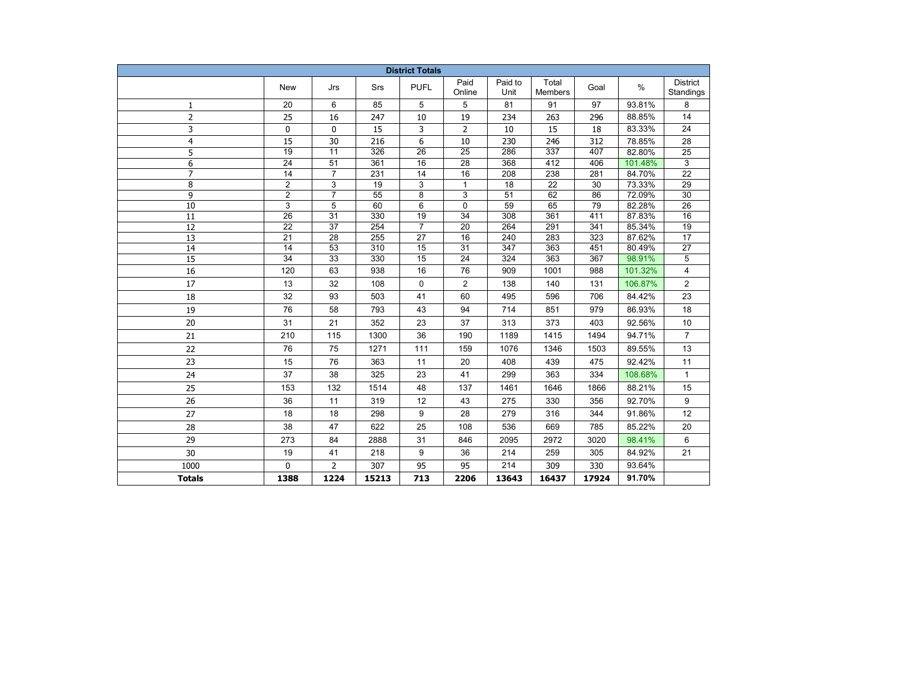| <b>District Totals</b> |                       |                       |                         |                 |                       |                 |                         |            |                  |                              |
|------------------------|-----------------------|-----------------------|-------------------------|-----------------|-----------------------|-----------------|-------------------------|------------|------------------|------------------------------|
|                        | <b>New</b>            | Jrs                   | Srs                     | <b>PUFL</b>     | Paid<br>Online        | Paid to<br>Unit | Total<br><b>Members</b> | Goal       | $\%$             | <b>District</b><br>Standings |
| $\mathbf{1}$           | 20                    | 6                     | 85                      | 5               | 5                     | 81              | 91                      | 97         | 93.81%           | 8                            |
| $\overline{2}$         | 25                    | 16                    | 247                     | 10              | 19                    | 234             | 263                     | 296        | 88.85%           | 14                           |
| 3                      | 0                     | 0                     | 15                      | 3               | 2                     | 10              | 15                      | 18         | 83.33%           | 24                           |
| $\overline{4}$         | 15                    | 30                    | 216                     | 6               | 10                    | 230             | 246                     | 312        | 78.85%           | 28                           |
| 5                      | $\overline{19}$       | $\overline{11}$       | 326                     | $\overline{26}$ | $\overline{25}$       | 286             | 337                     | 407        | 82.80%           | $\overline{25}$              |
| 6                      | $\overline{24}$       | $\overline{51}$       | 361                     | 16              | $\overline{28}$       | 368             | 412                     | 406        | 101.48%          | 3                            |
| $\overline{7}$         | $\overline{14}$       | $\overline{7}$        | 231                     | 14              | $\overline{16}$       | 208             | $\overline{238}$        | 281        | 84.70%           | $\overline{22}$              |
| 8                      | $\overline{2}$        | 3                     | $\overline{19}$         | 3               | $\mathbf{1}$          | $\overline{18}$ | $\overline{22}$         | 30         | 73.33%           | $\overline{29}$              |
| 9                      | $\overline{c}$        | $\overline{7}$        | 55                      | 8               | 3                     | 51              | 62                      | 86         | 72.09%           | 30                           |
| 10                     | $\overline{3}$        | 5                     | 60                      | 6               | 0                     | 59              | 65                      | 79         | 82.28%           | 26                           |
| 11                     | 26                    | 31                    | 330                     | 19              | 34                    | 308             | 361                     | 411        | 87.83%           | 16                           |
| 12                     | 22                    | 37                    | 254                     | $\overline{7}$  | 20                    | 264             | 291                     | 341        | 85.34%           | 19                           |
| 13<br>14               | 21<br>$\overline{14}$ | 28<br>$\overline{53}$ | 255<br>$\overline{310}$ | 27<br>15        | 16<br>$\overline{31}$ | 240<br>347      | 283<br>363              | 323<br>451 | 87.62%<br>80.49% | 17<br>$\overline{27}$        |
| $\overline{15}$        | $\overline{34}$       | $\overline{33}$       | 330                     | 15              | $\overline{24}$       | 324             | 363                     | 367        | 98.91%           | 5                            |
| 16                     | 120                   | 63                    | 938                     | 16              | 76                    | 909             | 1001                    | 988        | 101.32%          | 4                            |
| 17                     | 13                    | 32                    | 108                     | 0               | $\overline{2}$        | 138             | 140                     | 131        | 106.87%          | 2                            |
| 18                     | 32                    | 93                    | 503                     | 41              | 60                    | 495             | 596                     | 706        | 84.42%           | 23                           |
| 19                     | 76                    | 58                    | 793                     | 43              | 94                    | 714             | 851                     | 979        | 86.93%           | 18                           |
| 20                     | 31                    | 21                    | 352                     | 23              | 37                    | 313             | 373                     | 403        | 92.56%           | 10                           |
| 21                     | 210                   | 115                   | 1300                    | 36              | 190                   | 1189            | 1415                    | 1494       | 94.71%           | $\overline{7}$               |
| 22                     | 76                    | 75                    | 1271                    | 111             | 159                   | 1076            | 1346                    | 1503       | 89.55%           | 13                           |
|                        | 15                    | 76                    | 363                     | 11              |                       | 408             | 439                     | 475        | 92.42%           | 11                           |
| 23<br>24               | 37                    | 38                    | 325                     | 23              | 20<br>41              | 299             | 363                     | 334        | 108.68%          | $\mathbf{1}$                 |
| 25                     | 153                   | 132                   | 1514                    | 48              | 137                   | 1461            | 1646                    | 1866       | 88.21%           | 15                           |
|                        |                       |                       |                         |                 |                       |                 |                         |            |                  |                              |
| 26                     | 36                    | 11                    | 319                     | 12              | 43                    | 275             | 330                     | 356        | 92.70%           | 9                            |
| 27                     | 18                    | 18                    | 298                     | 9               | 28                    | 279             | 316                     | 344        | 91.86%           | 12                           |
| 28                     | 38                    | 47                    | 622                     | 25              | 108                   | 536             | 669                     | 785        | 85.22%           | 20                           |
| 29                     | 273                   | 84                    | 2888                    | 31              | 846                   | 2095            | 2972                    | 3020       | 98.41%           | 6                            |
| 30                     | 19                    | 41                    | 218                     | 9               | 36                    | 214             | 259                     | 305        | 84.92%           | 21                           |
| 1000                   | 0                     | $\overline{2}$        | 307                     | 95              | 95                    | 214             | 309                     | 330        | 93.64%           |                              |
| <b>Totals</b>          | 1388                  | 1224                  | 15213                   | 713             | 2206                  | 13643           | 16437                   | 17924      | 91.70%           |                              |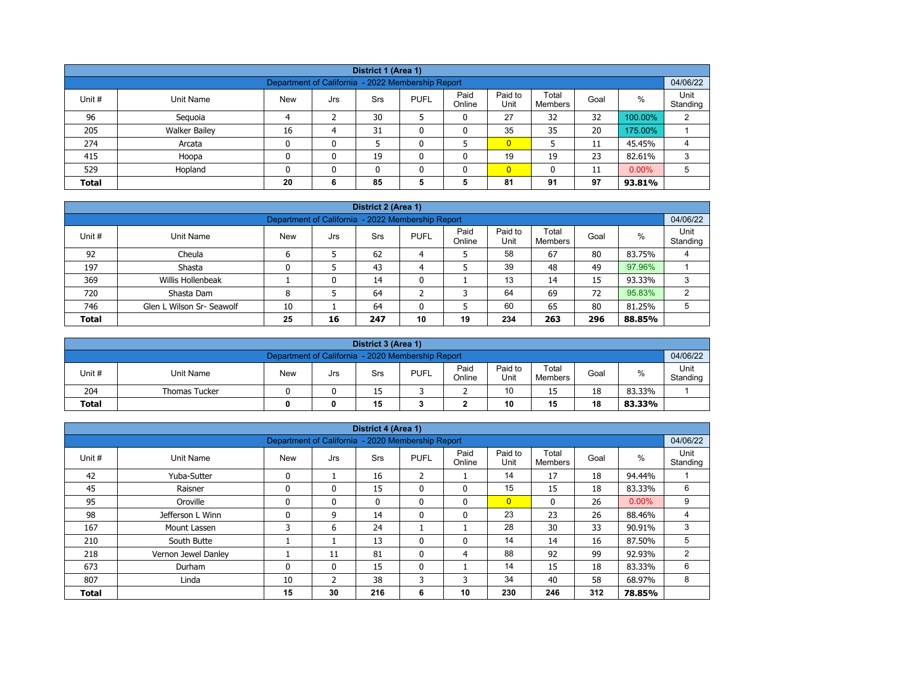| District 1 (Area 1)                                                                                                                                   |                                                                                 |    |   |    |  |   |                |    |    |         |   |  |  |
|-------------------------------------------------------------------------------------------------------------------------------------------------------|---------------------------------------------------------------------------------|----|---|----|--|---|----------------|----|----|---------|---|--|--|
| Department of California - 2022 Membership Report                                                                                                     |                                                                                 |    |   |    |  |   |                |    |    |         |   |  |  |
| Paid<br>Paid to<br>Total<br>$\%$<br>Unit #<br><b>PUFL</b><br>Goal<br>Unit Name<br><b>New</b><br><b>Srs</b><br>Jrs<br>Online<br>Unit<br><b>Members</b> |                                                                                 |    |   |    |  |   |                |    |    |         |   |  |  |
| 96                                                                                                                                                    | Seguoia                                                                         | Δ  |   | 30 |  | 0 | 27             | 32 | 32 | 100.00% | 2 |  |  |
| 205                                                                                                                                                   | <b>Walker Bailey</b>                                                            | 16 | 4 | 31 |  | 0 | 35             | 35 | 20 | 175.00% |   |  |  |
| 274                                                                                                                                                   | Arcata                                                                          | 0  | 0 |    |  |   | $\overline{0}$ |    | 11 | 45.45%  | 4 |  |  |
| 415                                                                                                                                                   | Hoopa                                                                           | 0  | 0 | 19 |  | 0 | 19             | 19 | 23 | 82.61%  | 3 |  |  |
| 529                                                                                                                                                   | $\overline{0}$<br>$0.00\%$<br>Hopland<br>5<br>0<br>$\mathbf{0}$<br>11<br>n<br>0 |    |   |    |  |   |                |    |    |         |   |  |  |
| <b>Total</b>                                                                                                                                          | 97<br>85<br>5<br>81<br>91<br>20<br>5<br>6<br>93.81%                             |    |   |    |  |   |                |    |    |         |   |  |  |

| District 2 (Area 1) |                                                                                                                                                          |    |    |     |    |    |     |     |     |        |   |  |  |  |
|---------------------|----------------------------------------------------------------------------------------------------------------------------------------------------------|----|----|-----|----|----|-----|-----|-----|--------|---|--|--|--|
|                     | 04/06/22<br>Department of California - 2022 Membership Report                                                                                            |    |    |     |    |    |     |     |     |        |   |  |  |  |
| Unit #              | Paid<br>Paid to<br>Unit<br>Total<br>$\%$<br><b>PUFL</b><br><b>New</b><br>Unit Name<br><b>Srs</b><br>Goal<br>Jrs<br>Online<br>Unit<br>Standing<br>Members |    |    |     |    |    |     |     |     |        |   |  |  |  |
| 92                  | Cheula                                                                                                                                                   |    |    | 62  | 4  |    | 58  | 67  | 80  | 83.75% | 4 |  |  |  |
| 197                 | Shasta                                                                                                                                                   |    |    | 43  | 4  |    | 39  | 48  | 49  | 97.96% |   |  |  |  |
| 369                 | Willis Hollenbeak                                                                                                                                        |    | 0  | 14  | 0  |    | 13  | 14  | 15  | 93.33% | 3 |  |  |  |
| 720                 | Shasta Dam                                                                                                                                               | 8  |    | 64  |    | っ  | 64  | 69  | 72  | 95.83% | ◠ |  |  |  |
| 746                 | Glen L Wilson Sr- Seawolf                                                                                                                                | 10 |    | 64  |    | 5  | 60  | 65  | 80  | 81.25% | 5 |  |  |  |
| <b>Total</b>        |                                                                                                                                                          | 25 | 16 | 247 | 10 | 19 | 234 | 263 | 296 | 88.85% |   |  |  |  |

|                                                               | District 3 (Area 1)                                                                                                               |  |  |    |  |   |    |    |    |        |                  |  |  |
|---------------------------------------------------------------|-----------------------------------------------------------------------------------------------------------------------------------|--|--|----|--|---|----|----|----|--------|------------------|--|--|
| 04/06/22<br>Department of California - 2020 Membership Report |                                                                                                                                   |  |  |    |  |   |    |    |    |        |                  |  |  |
| Unit#                                                         | Paid<br>Paid to<br>Total<br>%<br><b>PUFL</b><br><b>New</b><br>Unit Name<br>Goal<br>Srs<br>Jrs<br>Online<br>Unit<br><b>Members</b> |  |  |    |  |   |    |    |    |        | Unit<br>Standing |  |  |
| 204                                                           | <b>Thomas Tucker</b>                                                                                                              |  |  | 15 |  | - | 10 | 15 | 18 | 83.33% |                  |  |  |
| <b>Total</b>                                                  | 15<br>10<br>18<br>15<br>83.33%<br>0                                                                                               |  |  |    |  |   |    |    |    |        |                  |  |  |

|              |                     |                                                   |                | District 4 (Area 1) |                |                |                 |                  |      |          |                  |
|--------------|---------------------|---------------------------------------------------|----------------|---------------------|----------------|----------------|-----------------|------------------|------|----------|------------------|
|              |                     | Department of California - 2020 Membership Report |                |                     |                |                |                 |                  |      |          | 04/06/22         |
| Unit #       | <b>Unit Name</b>    | <b>New</b>                                        | Jrs            | Srs                 | <b>PUFL</b>    | Paid<br>Online | Paid to<br>Unit | Total<br>Members | Goal | $\%$     | Unit<br>Standing |
| 42           | Yuba-Sutter         | $\mathbf{0}$                                      |                | 16                  | $\overline{2}$ |                | 14              | 17               | 18   | 94.44%   |                  |
| 45           | Raisner             | $\mathbf{0}$                                      | 0              | 15                  | $\mathbf{0}$   | $\mathbf{0}$   | 15              | 15               | 18   | 83.33%   | 6                |
| 95           | Oroville            | $\Omega$                                          | 0              | $\mathbf{0}$        | $\mathbf{0}$   | $\mathbf{0}$   | $\overline{0}$  | $\mathbf{0}$     | 26   | $0.00\%$ | 9                |
| 98           | Jefferson L Winn    | $\Omega$                                          | 9              | 14                  | 0              | 0              | 23              | 23               | 26   | 88.46%   | 4                |
| 167          | Mount Lassen        | 3                                                 | 6              | 24                  |                |                | 28              | 30               | 33   | 90.91%   | 3                |
| 210          | South Butte         |                                                   |                | 13                  | $\mathbf{0}$   | 0              | 14              | 14               | 16   | 87.50%   | 5                |
| 218          | Vernon Jewel Danley |                                                   | 11             | 81                  | $\mathbf{0}$   | 4              | 88              | 92               | 99   | 92.93%   | 2                |
| 673          | Durham              | $\mathbf{0}$                                      | $\mathbf{0}$   | 15                  | 0              |                | 14              | 15               | 18   | 83.33%   | 6                |
| 807          | Linda               | 10                                                | $\overline{2}$ | 38                  | 3              | 3              | 34              | 40               | 58   | 68.97%   | 8                |
| <b>Total</b> |                     | 15                                                | 30             | 216                 | 6              | 10             | 230             | 246              | 312  | 78.85%   |                  |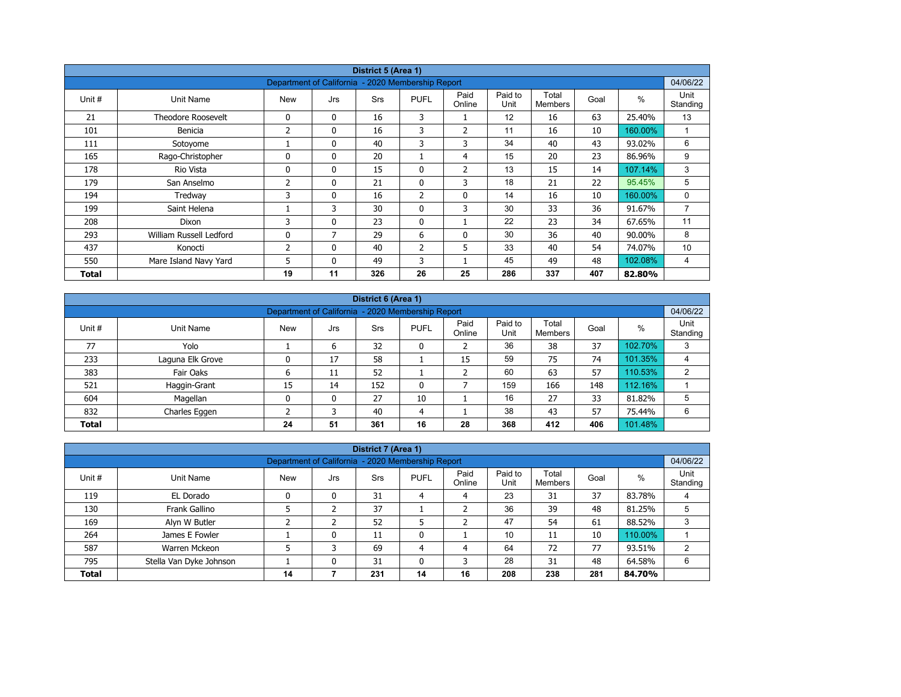|        | District 5 (Area 1)       |                                                   |              |            |                |                |                 |                         |      |         |                  |  |  |
|--------|---------------------------|---------------------------------------------------|--------------|------------|----------------|----------------|-----------------|-------------------------|------|---------|------------------|--|--|
|        |                           | Department of California - 2020 Membership Report |              |            |                |                |                 |                         |      |         | 04/06/22         |  |  |
| Unit # | Unit Name                 | <b>New</b>                                        | Jrs          | <b>Srs</b> | <b>PUFL</b>    | Paid<br>Online | Paid to<br>Unit | Total<br><b>Members</b> | Goal | $\%$    | Unit<br>Standing |  |  |
| 21     | <b>Theodore Roosevelt</b> | 0                                                 | $\mathbf{0}$ | 16         | 3              |                | 12              | 16                      | 63   | 25.40%  | 13               |  |  |
| 101    | Benicia                   | 2                                                 | 0            | 16         | 3              | $\overline{2}$ | 11              | 16                      | 10   | 160.00% | $\overline{ }$   |  |  |
| 111    | Sotoyome                  |                                                   | $\mathbf{0}$ | 40         | 3              | 3              | 34              | 40                      | 43   | 93.02%  | 6                |  |  |
| 165    | Rago-Christopher          | $\Omega$                                          | $\mathbf{0}$ | 20         |                | 4              | 15              | 20                      | 23   | 86.96%  | 9                |  |  |
| 178    | Rio Vista                 | 0                                                 | $\mathbf{0}$ | 15         | 0              | 2              | 13              | 15                      | 14   | 107.14% | 3                |  |  |
| 179    | San Anselmo               | 2                                                 | $\mathbf{0}$ | 21         | $\mathbf{0}$   | 3              | 18              | 21                      | 22   | 95.45%  | 5                |  |  |
| 194    | Tredway                   | 3                                                 | 0            | 16         | $\overline{2}$ | $\mathbf 0$    | 14              | 16                      | 10   | 160.00% | 0                |  |  |
| 199    | Saint Helena              |                                                   | 3            | 30         | $\mathbf{0}$   | 3              | 30              | 33                      | 36   | 91.67%  | $\overline{7}$   |  |  |
| 208    | Dixon                     | 3                                                 | 0            | 23         | $\mathbf{0}$   |                | 22              | 23                      | 34   | 67.65%  | 11               |  |  |
| 293    | William Russell Ledford   | 0                                                 | 7            | 29         | 6              | 0              | 30              | 36                      | 40   | 90.00%  | 8                |  |  |
| 437    | Konocti                   | 2                                                 | $\mathbf{0}$ | 40         | $\overline{2}$ | 5              | 33              | 40                      | 54   | 74.07%  | 10               |  |  |
| 550    | Mare Island Navy Yard     | 5                                                 | $\mathbf{0}$ | 49         | 3              |                | 45              | 49                      | 48   | 102.08% | 4                |  |  |
| Total  |                           | 19                                                | 11           | 326        | 26             | 25             | 286             | 337                     | 407  | 82.80%  |                  |  |  |

|              | District 6 (Area 1)                                                                                                                                          |    |    |     |              |    |     |     |     |         |   |  |  |  |
|--------------|--------------------------------------------------------------------------------------------------------------------------------------------------------------|----|----|-----|--------------|----|-----|-----|-----|---------|---|--|--|--|
|              | 04/06/22<br>Department of California - 2020 Membership Report                                                                                                |    |    |     |              |    |     |     |     |         |   |  |  |  |
| Unit #       | Paid<br>Paid to<br>Total<br>Unit<br>%<br><b>PUFL</b><br>Goal<br><b>Srs</b><br>Unit Name<br><b>New</b><br>Jrs<br>Unit<br>Standing<br>Online<br><b>Members</b> |    |    |     |              |    |     |     |     |         |   |  |  |  |
| 77           | Yolo                                                                                                                                                         |    | 6  | 32  | 0            |    | 36  | 38  | 37  | 102.70% | 3 |  |  |  |
| 233          | Laguna Elk Grove                                                                                                                                             |    | 17 | 58  |              | 15 | 59  | 75  | 74  | 101.35% | 4 |  |  |  |
| 383          | Fair Oaks                                                                                                                                                    | ь  | 11 | 52  |              |    | 60  | 63  | 57  | 110.53% | 2 |  |  |  |
| 521          | Haggin-Grant                                                                                                                                                 | 15 | 14 | 152 | $\mathbf{0}$ |    | 159 | 166 | 148 | 112.16% |   |  |  |  |
| 604          | Magellan                                                                                                                                                     | 0  | 0  | 27  | 10           |    | 16  | 27  | 33  | 81.82%  | 5 |  |  |  |
| 832          | Charles Eggen                                                                                                                                                |    | 3  | 40  | 4            |    | 38  | 43  | 57  | 75.44%  | 6 |  |  |  |
| <b>Total</b> |                                                                                                                                                              | 24 | 51 | 361 | 16           | 28 | 368 | 412 | 406 | 101.48% |   |  |  |  |

|                                                                                                                                                             |                                                                               |                                                   |   | District 7 (Area 1) |                |    |     |     |     |         |          |  |
|-------------------------------------------------------------------------------------------------------------------------------------------------------------|-------------------------------------------------------------------------------|---------------------------------------------------|---|---------------------|----------------|----|-----|-----|-----|---------|----------|--|
|                                                                                                                                                             |                                                                               | Department of California - 2020 Membership Report |   |                     |                |    |     |     |     |         | 04/06/22 |  |
| Unit<br>Paid<br>Paid to<br>Total<br>$\%$<br>Unit #<br><b>New</b><br>Unit Name<br><b>PUFL</b><br>Goal<br>Srs<br>Jrs<br>Online<br>Standing<br>Unit<br>Members |                                                                               |                                                   |   |                     |                |    |     |     |     |         |          |  |
| 119                                                                                                                                                         | EL Dorado                                                                     |                                                   | 0 | 31                  | 4              | 4  | 23  | 31  | 37  | 83.78%  | 4        |  |
| 130                                                                                                                                                         | Frank Gallino                                                                 |                                                   |   | 37                  |                |    | 36  | 39  | 48  | 81.25%  |          |  |
| 169                                                                                                                                                         | Alyn W Butler                                                                 |                                                   |   | 52                  |                |    | 47  | 54  | 61  | 88.52%  | 3        |  |
| 264                                                                                                                                                         | James E Fowler                                                                |                                                   | 0 | 11                  | 0              |    | 10  | 11  | 10  | 110.00% |          |  |
| 587                                                                                                                                                         | Warren Mckeon                                                                 |                                                   | っ | 69                  | $\overline{4}$ | 4  | 64  | 72  | 77  | 93.51%  |          |  |
| 795                                                                                                                                                         | 28<br>48<br>Stella Van Dyke Johnson<br>31<br>31<br>0<br>3<br>64.58%<br>6<br>0 |                                                   |   |                     |                |    |     |     |     |         |          |  |
| <b>Total</b>                                                                                                                                                |                                                                               | 14                                                |   | 231                 | 14             | 16 | 208 | 238 | 281 | 84.70%  |          |  |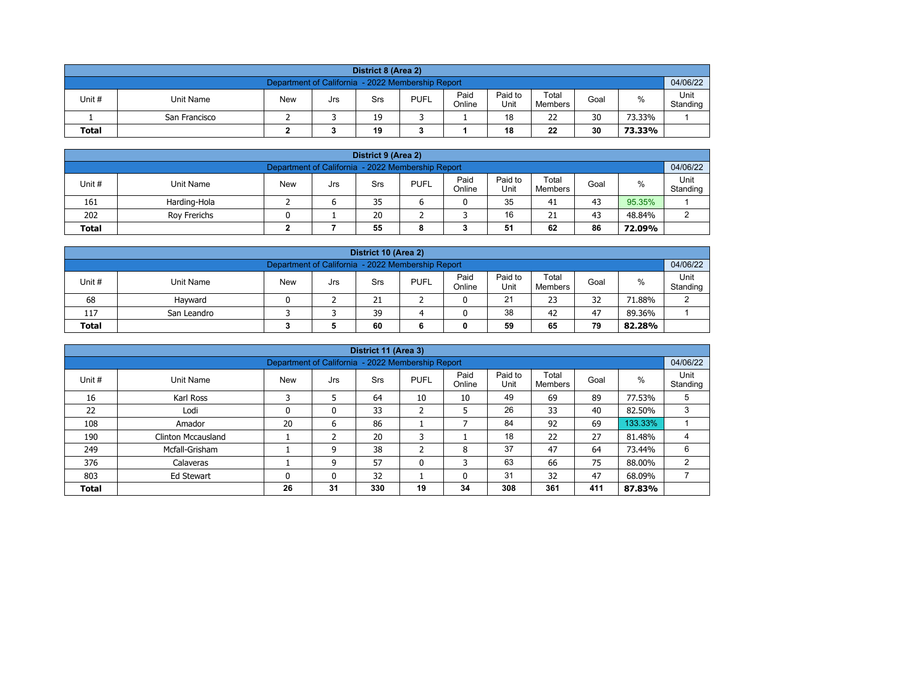| District 8 (Area 2)                            |                                                                                                                                        |  |  |    |  |  |    |    |    |        |  |  |  |  |
|------------------------------------------------|----------------------------------------------------------------------------------------------------------------------------------------|--|--|----|--|--|----|----|----|--------|--|--|--|--|
|                                                | 04/06/22<br>Department of California - 2022 Membership Report                                                                          |  |  |    |  |  |    |    |    |        |  |  |  |  |
| Unit #                                         | Paid<br>Paid to<br>Total<br>%<br><b>PUFL</b><br><b>New</b><br>Unit Name<br>Goal<br>Srs<br>Jrs<br>Online<br>Unit<br>Standing<br>Members |  |  |    |  |  |    |    |    |        |  |  |  |  |
|                                                | San Francisco                                                                                                                          |  |  | 19 |  |  | 18 | 22 | 30 | 73.33% |  |  |  |  |
| 30<br>22<br>19<br>18<br><b>Total</b><br>73.33% |                                                                                                                                        |  |  |    |  |  |    |    |    |        |  |  |  |  |

| District 9 (Area 2)                                                                                                                  |              |  |  |    |  |  |    |    |    |        |   |  |  |
|--------------------------------------------------------------------------------------------------------------------------------------|--------------|--|--|----|--|--|----|----|----|--------|---|--|--|
| 04/06/22<br>Department of California - 2022 Membership Report                                                                        |              |  |  |    |  |  |    |    |    |        |   |  |  |
| Paid<br>Paid to<br>Total<br>Unit #<br><b>PUFL</b><br>%<br><b>New</b><br>Unit Name<br>Goal<br>Srs<br>Jrs<br>Online<br>Unit<br>Members |              |  |  |    |  |  |    |    |    |        |   |  |  |
| 161                                                                                                                                  | Harding-Hola |  |  | 35 |  |  | 35 | 41 | 43 | 95.35% |   |  |  |
| 202                                                                                                                                  | Rov Frerichs |  |  | 20 |  |  | 16 | 21 | 43 | 48.84% | ົ |  |  |
| 51<br>86<br>55<br>62<br><b>Total</b><br>72.09%<br>8                                                                                  |              |  |  |    |  |  |    |    |    |        |   |  |  |

| District 10 (Area 2)                                                                                                                    |                                               |  |  |    |  |  |    |    |    |        |        |  |  |
|-----------------------------------------------------------------------------------------------------------------------------------------|-----------------------------------------------|--|--|----|--|--|----|----|----|--------|--------|--|--|
| 04/06/22<br>Department of California - 2022 Membership Report                                                                           |                                               |  |  |    |  |  |    |    |    |        |        |  |  |
| Paid<br>Paid to<br>Total<br>$\%$<br>Unit #<br><b>PUFL</b><br>Unit Name<br><b>New</b><br>Goal<br>Srs<br>Jrs<br>Online<br>Unit<br>Members |                                               |  |  |    |  |  |    |    |    |        |        |  |  |
| 68                                                                                                                                      | Havward                                       |  |  | 21 |  |  | 21 | 23 | 32 | 71.88% | $\sim$ |  |  |
| 117                                                                                                                                     | 38<br>39<br>47<br>42<br>89.36%<br>San Leandro |  |  |    |  |  |    |    |    |        |        |  |  |
| 59<br>79<br><b>Total</b><br>60<br>65<br>82.28%                                                                                          |                                               |  |  |    |  |  |    |    |    |        |        |  |  |

|              |                                                             |                                                   |     | District 11 (Area 3) |                   |                |                 |                  |      |         |                  |  |
|--------------|-------------------------------------------------------------|---------------------------------------------------|-----|----------------------|-------------------|----------------|-----------------|------------------|------|---------|------------------|--|
|              |                                                             | Department of California - 2022 Membership Report |     |                      |                   |                |                 |                  |      |         | 04/06/22         |  |
| Unit #       | Unit Name                                                   | <b>New</b>                                        | Jrs | Srs                  | <b>PUFL</b>       | Paid<br>Online | Paid to<br>Unit | Total<br>Members | Goal | $\%$    | Unit<br>Standing |  |
| 16           | Karl Ross                                                   | <b>D</b>                                          |     | 64                   | 10                | 10             | 49              | 69               | 89   | 77.53%  | 5                |  |
| 22           | Lodi                                                        | 0                                                 | 0   | 33                   | h<br>$\epsilon$   | 5              | 26              | 33               | 40   | 82.50%  | 3                |  |
| 108          | Amador                                                      | 20                                                | 6   | 86                   |                   |                | 84              | 92               | 69   | 133.33% |                  |  |
| 190          | <b>Clinton Mccausland</b>                                   |                                                   |     | 20                   | 3                 |                | 18              | 22               | 27   | 81.48%  |                  |  |
| 249          | Mcfall-Grisham                                              |                                                   | 9   | 38                   | <sup>-</sup><br>∠ | 8              | 37              | 47               | 64   | 73.44%  | 6                |  |
| 376          | Calaveras                                                   |                                                   | 9   | 57                   | 0                 | 3              | 63              | 66               | 75   | 88.00%  | $\overline{2}$   |  |
| 803          | 31<br>47<br>32<br>32<br>68.09%<br>0<br>0<br>0<br>Ed Stewart |                                                   |     |                      |                   |                |                 |                  |      |         |                  |  |
| <b>Total</b> |                                                             | 26                                                | 31  | 330                  | 19                | 34             | 308             | 361              | 411  | 87.83%  |                  |  |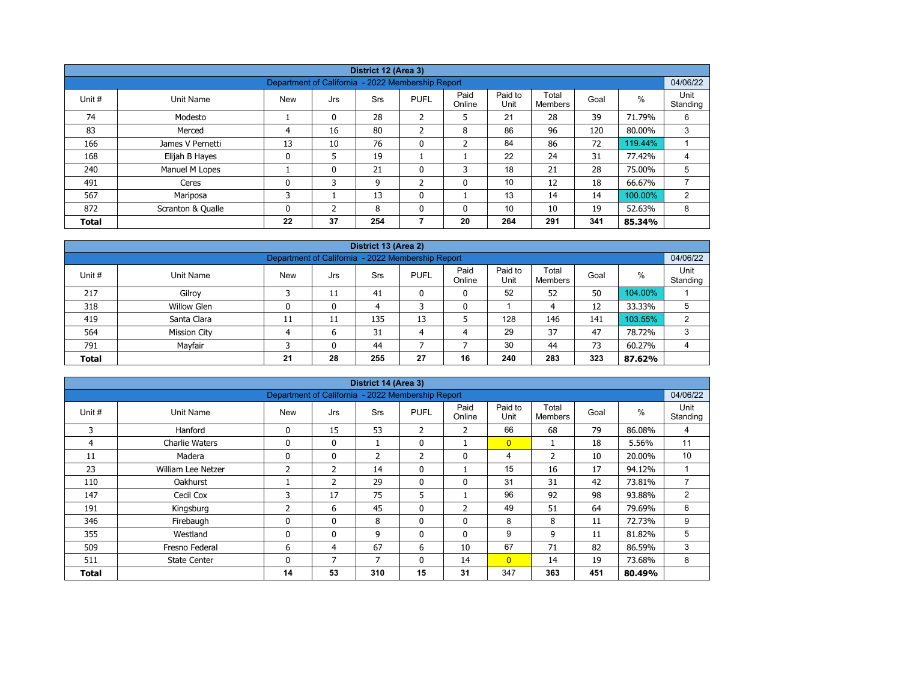|              |                   |                                                   |          | District 12 (Area 3) |                |                |                 |                  |      |         |                  |  |  |  |
|--------------|-------------------|---------------------------------------------------|----------|----------------------|----------------|----------------|-----------------|------------------|------|---------|------------------|--|--|--|
|              |                   | Department of California - 2022 Membership Report |          |                      |                |                |                 |                  |      |         | 04/06/22         |  |  |  |
| Unit #       | Unit Name         | <b>New</b>                                        | Jrs      | <b>Srs</b>           | <b>PUFL</b>    | Paid<br>Online | Paid to<br>Unit | Total<br>Members | Goal | %       | Unit<br>Standing |  |  |  |
| 74           | Modesto           |                                                   | $\Omega$ | 28                   | ำ<br>∠         | 5              | 21              | 28               | 39   | 71.79%  | 6                |  |  |  |
| 83           | Merced            | 4                                                 | 16       | 80                   | $\overline{2}$ | 8              | 86              | 96               | 120  | 80.00%  | 3                |  |  |  |
| 166          | James V Pernetti  | 13                                                | 10       | 76                   | $\mathbf 0$    | $\overline{2}$ | 84              | 86               | 72   | 119.44% |                  |  |  |  |
| 168          | Elijah B Hayes    | 0                                                 | 5        | 19                   |                |                | 22              | 24               | 31   | 77.42%  | 4                |  |  |  |
| 240          | Manuel M Lopes    |                                                   | 0        | 21                   | 0              | 3              | 18              | 21               | 28   | 75.00%  | 5                |  |  |  |
| 491          | Ceres             | 0                                                 | 3        | 9                    | $\overline{2}$ | 0              | 10              | 12               | 18   | 66.67%  |                  |  |  |  |
| 567          | Mariposa          | 3                                                 |          | 13                   | $\mathbf{0}$   |                | 13              | 14               | 14   | 100.00% | 2                |  |  |  |
| 872          | Scranton & Qualle | 0                                                 | C.       | 8                    | $\mathbf{0}$   | 0              | 10              | 10               | 19   | 52.63%  | 8                |  |  |  |
| <b>Total</b> |                   | 22                                                | 37       | 254                  | 7              | 20             | 264             | 291              | 341  | 85.34%  |                  |  |  |  |

| District 13 (Area 2)                                                            |                                                                                                                                        |    |    |     |    |   |     |     |     |         |   |  |  |  |  |
|---------------------------------------------------------------------------------|----------------------------------------------------------------------------------------------------------------------------------------|----|----|-----|----|---|-----|-----|-----|---------|---|--|--|--|--|
|                                                                                 | 04/06/22<br>Department of California - 2022 Membership Report                                                                          |    |    |     |    |   |     |     |     |         |   |  |  |  |  |
| Unit#                                                                           | Paid<br>Paid to<br>Total<br>%<br><b>New</b><br><b>PUFL</b><br>Unit Name<br>Goal<br>Srs<br>Jrs<br>Standing<br>Online<br>Unit<br>Members |    |    |     |    |   |     |     |     |         |   |  |  |  |  |
| 217                                                                             | Gilroy                                                                                                                                 |    | 11 | 41  |    | 0 | 52  | 52  | 50  | 104.00% |   |  |  |  |  |
| 318                                                                             | <b>Willow Glen</b>                                                                                                                     |    | 0  | 4   |    | 0 |     | 4   | 12  | 33.33%  | 5 |  |  |  |  |
| 419                                                                             | Santa Clara                                                                                                                            | 11 | 11 | 135 | 13 |   | 128 | 146 | 141 | 103.55% | 2 |  |  |  |  |
| 564                                                                             | <b>Mission City</b>                                                                                                                    |    | 6  | 31  | 4  | 4 | 29  | 37  | 47  | 78.72%  | 3 |  |  |  |  |
| Mayfair<br>30<br>73<br>791<br>44<br>44<br>60.27%<br>$\mathbf{0}$                |                                                                                                                                        |    |    |     |    |   |     |     |     |         |   |  |  |  |  |
| 4<br>28<br>27<br>240<br>283<br>323<br>21<br>255<br>16<br>87.62%<br><b>Total</b> |                                                                                                                                        |    |    |     |    |   |     |     |     |         |   |  |  |  |  |

| District 14 (Area 3) |                       |                                                   |                |                |              |                |                 |                         |      |        |                  |  |  |
|----------------------|-----------------------|---------------------------------------------------|----------------|----------------|--------------|----------------|-----------------|-------------------------|------|--------|------------------|--|--|
|                      |                       | Department of California - 2022 Membership Report |                |                |              |                |                 |                         |      |        | 04/06/22         |  |  |
| Unit #               | Unit Name             | <b>New</b>                                        | Jrs            | <b>Srs</b>     | <b>PUFL</b>  | Paid<br>Online | Paid to<br>Unit | Total<br><b>Members</b> | Goal | %      | Unit<br>Standing |  |  |
| 3                    | Hanford               | $\mathbf{0}$                                      | 15             | 53             | 2            | $\overline{2}$ | 66              | 68                      | 79   | 86.08% | 4                |  |  |
| 4                    | <b>Charlie Waters</b> | 0                                                 | $\mathbf{0}$   | T              | 0            |                | $\overline{0}$  |                         | 18   | 5.56%  | 11               |  |  |
| 11                   | Madera                | 0                                                 | 0              | $\overline{2}$ | 2            | 0              | 4               | $\overline{2}$          | 10   | 20.00% | 10               |  |  |
| 23                   | William Lee Netzer    | $\overline{2}$                                    | $\overline{2}$ | 14             | $\mathbf{0}$ |                | 15              | 16                      | 17   | 94.12% |                  |  |  |
| 110                  | Oakhurst              |                                                   | $\mathcal{P}$  | 29             | 0            | $\mathbf{0}$   | 31              | 31                      | 42   | 73.81% | $\overline{7}$   |  |  |
| 147                  | Cecil Cox             | 3                                                 | 17             | 75             | 5            |                | 96              | 92                      | 98   | 93.88% | $\overline{2}$   |  |  |
| 191                  | Kingsburg             | 2                                                 | 6              | 45             | $\mathbf{0}$ | $\overline{2}$ | 49              | 51                      | 64   | 79.69% | 6                |  |  |
| 346                  | Firebaugh             | 0                                                 | 0              | 8              | 0            | 0              | 8               | 8                       | 11   | 72.73% | 9                |  |  |
| 355                  | Westland              | 0                                                 | 0              | 9              | $\mathbf{0}$ | $\mathbf{0}$   | 9               | 9                       | 11   | 81.82% | 5                |  |  |
| 509                  | Fresno Federal        | 6                                                 | 4              | 67             | 6            | 10             | 67              | 71                      | 82   | 86.59% | 3                |  |  |
| 511                  | <b>State Center</b>   | 0                                                 | 7              | 7              | $\mathbf{0}$ | 14             | $\overline{0}$  | 14                      | 19   | 73.68% | 8                |  |  |
| <b>Total</b>         |                       | 14                                                | 53             | 310            | 15           | 31             | 347             | 363                     | 451  | 80.49% |                  |  |  |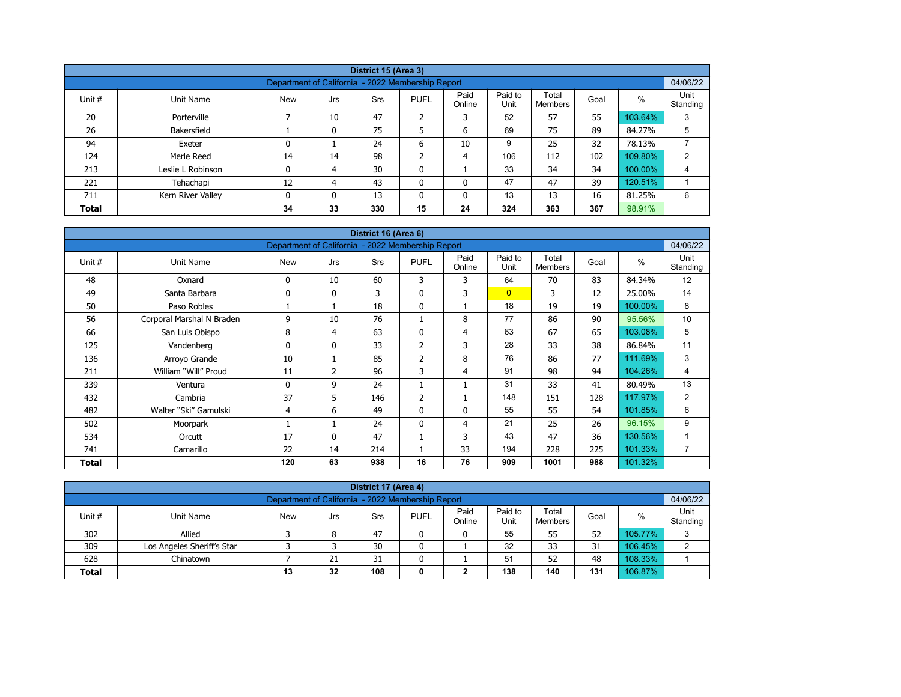|              |                   |                                                   |          | District 15 (Area 3) |                |                |                 |                  |      |         |                  |
|--------------|-------------------|---------------------------------------------------|----------|----------------------|----------------|----------------|-----------------|------------------|------|---------|------------------|
|              |                   | Department of California - 2022 Membership Report |          |                      |                |                |                 |                  |      |         | 04/06/22         |
| Unit #       | Unit Name         | <b>New</b>                                        | Jrs      | Srs                  | <b>PUFL</b>    | Paid<br>Online | Paid to<br>Unit | Total<br>Members | Goal | $\%$    | Unit<br>Standing |
| 20           | Porterville       |                                                   | 10       | 47                   | $\overline{2}$ | 3              | 52              | 57               | 55   | 103.64% | 3                |
| 26           | Bakersfield       |                                                   | 0        | 75                   | 5              | 6              | 69              | 75               | 89   | 84.27%  | 5                |
| 94           | Exeter            | 0                                                 |          | 24                   | 6              | 10             | 9               | 25               | 32   | 78.13%  |                  |
| 124          | Merle Reed        | 14                                                | 14       | 98                   | h              | 4              | 106             | 112              | 102  | 109.80% | $\overline{2}$   |
| 213          | Leslie L Robinson | 0                                                 | 4        | 30                   | $\mathbf 0$    |                | 33              | 34               | 34   | 100.00% | 4                |
| 221          | Tehachapi         | 12                                                | 4        | 43                   | $\mathbf{0}$   | 0              | 47              | 47               | 39   | 120.51% |                  |
| 711          | Kern River Valley | 0                                                 | $\Omega$ | 13                   | $\mathbf{0}$   | 0              | 13              | 13               | 16   | 81.25%  | 6                |
| <b>Total</b> |                   | 34                                                | 33       | 330                  | 15             | 24             | 324             | 363              | 367  | 98.91%  |                  |

| District 16 (Area 6) |                           |                                                   |                |            |                |                |                 |                         |      |         |                  |  |  |
|----------------------|---------------------------|---------------------------------------------------|----------------|------------|----------------|----------------|-----------------|-------------------------|------|---------|------------------|--|--|
|                      |                           | Department of California - 2022 Membership Report |                |            |                |                |                 |                         |      |         | 04/06/22         |  |  |
| Unit #               | <b>Unit Name</b>          | <b>New</b>                                        | Jrs            | <b>Srs</b> | <b>PUFL</b>    | Paid<br>Online | Paid to<br>Unit | Total<br><b>Members</b> | Goal | %       | Unit<br>Standing |  |  |
| 48                   | Oxnard                    | 0                                                 | 10             | 60         | 3              | 3              | 64              | 70                      | 83   | 84.34%  | 12               |  |  |
| 49                   | Santa Barbara             | $\Omega$                                          | $\mathbf{0}$   | 3          | $\mathbf{0}$   | 3              | $\overline{0}$  | 3                       | 12   | 25.00%  | 14               |  |  |
| 50                   | Paso Robles               |                                                   |                | 18         | 0              | 1              | 18              | 19                      | 19   | 100.00% | 8                |  |  |
| 56                   | Corporal Marshal N Braden | 9                                                 | 10             | 76         | 1              | 8              | 77              | 86                      | 90   | 95.56%  | 10               |  |  |
| 66                   | San Luis Obispo           | 8                                                 | 4              | 63         | $\mathbf{0}$   | $\overline{4}$ | 63              | 67                      | 65   | 103.08% | 5                |  |  |
| 125                  | Vandenberg                | $\mathbf{0}$                                      | $\mathbf{0}$   | 33         | 2              | 3              | 28              | 33                      | 38   | 86.84%  | 11               |  |  |
| 136                  | Arroyo Grande             | 10                                                | 1              | 85         | $\overline{2}$ | 8              | 76              | 86                      | 77   | 111.69% | 3                |  |  |
| 211                  | William "Will" Proud      | 11                                                | $\overline{2}$ | 96         | 3              | 4              | 91              | 98                      | 94   | 104.26% | 4                |  |  |
| 339                  | Ventura                   | $\mathbf{0}$                                      | 9              | 24         |                | 1              | 31              | 33                      | 41   | 80.49%  | 13               |  |  |
| 432                  | Cambria                   | 37                                                | 5              | 146        | $\overline{2}$ | 1              | 148             | 151                     | 128  | 117.97% | 2                |  |  |
| 482                  | Walter "Ski" Gamulski     | 4                                                 | 6              | 49         | $\mathbf{0}$   | 0              | 55              | 55                      | 54   | 101.85% | 6                |  |  |
| 502                  | Moorpark                  |                                                   |                | 24         | $\mathbf{0}$   | 4              | 21              | 25                      | 26   | 96.15%  | 9                |  |  |
| 534                  | Orcutt                    | 17                                                | $\mathbf{0}$   | 47         |                | 3              | 43              | 47                      | 36   | 130.56% | 1                |  |  |
| 741                  | Camarillo                 | 22                                                | 14             | 214        |                | 33             | 194             | 228                     | 225  | 101.33% | $\overline{7}$   |  |  |
| <b>Total</b>         |                           | 120                                               | 63             | 938        | 16             | 76             | 909             | 1001                    | 988  | 101.32% |                  |  |  |

| District 17 (Area 4)                                                                                                                             |                                                               |  |    |    |   |   |    |    |    |         |   |  |  |  |  |
|--------------------------------------------------------------------------------------------------------------------------------------------------|---------------------------------------------------------------|--|----|----|---|---|----|----|----|---------|---|--|--|--|--|
|                                                                                                                                                  | 04/06/22<br>Department of California - 2022 Membership Report |  |    |    |   |   |    |    |    |         |   |  |  |  |  |
| Paid<br>Paid to<br>Total<br>Unit #<br><b>PUFL</b><br>Goal<br><b>New</b><br>%<br>Unit Name<br>Srs<br>Jrs<br>Unit<br>Standing<br>Online<br>Members |                                                               |  |    |    |   |   |    |    |    |         |   |  |  |  |  |
| 302                                                                                                                                              | Allied                                                        |  | 8  | 47 | 0 | 0 | 55 | 55 | 52 | 105.77% | 3 |  |  |  |  |
| 309                                                                                                                                              | Los Angeles Sheriff's Star                                    |  |    | 30 | 0 |   | 32 | 33 | 31 | 106.45% | າ |  |  |  |  |
| 628                                                                                                                                              | Chinatown                                                     |  | 21 | 31 |   |   | 51 | 52 | 48 | 108.33% |   |  |  |  |  |
| 108<br>138<br>106.87%<br>140<br>32<br>131<br><b>Total</b><br>13<br>0<br>∽                                                                        |                                                               |  |    |    |   |   |    |    |    |         |   |  |  |  |  |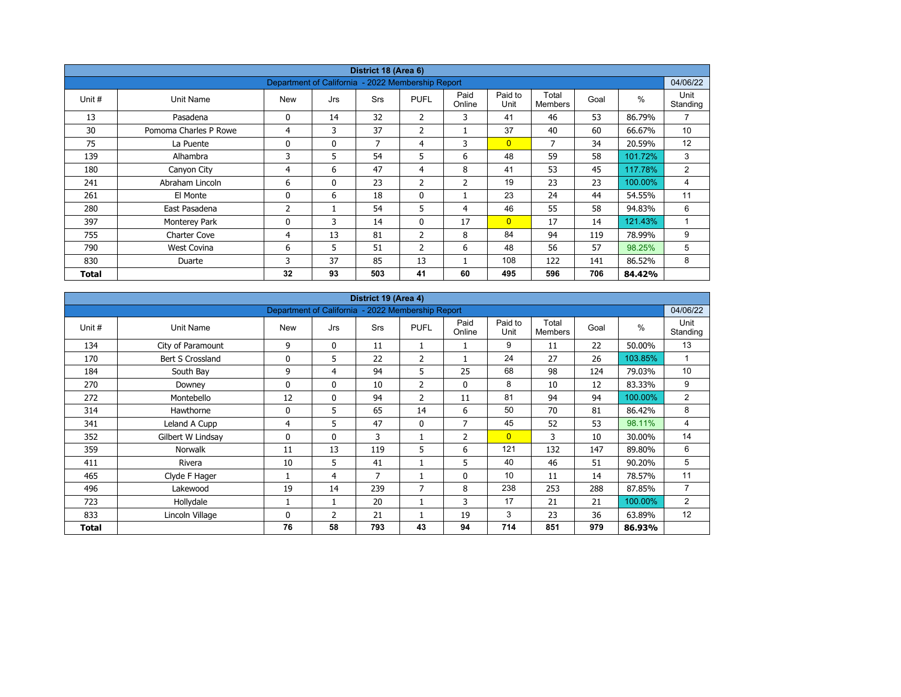| District 18 (Area 6) |                       |                                                   |              |            |                |                |                 |                         |      |         |                  |  |  |
|----------------------|-----------------------|---------------------------------------------------|--------------|------------|----------------|----------------|-----------------|-------------------------|------|---------|------------------|--|--|
|                      |                       | Department of California - 2022 Membership Report |              |            |                |                |                 |                         |      |         | 04/06/22         |  |  |
| Unit #               | Unit Name             | <b>New</b>                                        | Jrs          | <b>Srs</b> | <b>PUFL</b>    | Paid<br>Online | Paid to<br>Unit | Total<br><b>Members</b> | Goal | $\%$    | Unit<br>Standing |  |  |
| 13                   | Pasadena              | 0                                                 | 14           | 32         | $\overline{2}$ | 3              | 41              | 46                      | 53   | 86.79%  | $\overline{7}$   |  |  |
| 30                   | Pomoma Charles P Rowe | 4                                                 | 3            | 37         | $\overline{2}$ |                | 37              | 40                      | 60   | 66.67%  | 10               |  |  |
| 75                   | La Puente             | 0                                                 | $\mathbf{0}$ | 7          | 4              | 3              | $\overline{0}$  | 7                       | 34   | 20.59%  | 12               |  |  |
| 139                  | Alhambra              | 3                                                 | 5            | 54         | 5              | 6              | 48              | 59                      | 58   | 101.72% | 3                |  |  |
| 180                  | Canyon City           | 4                                                 | 6            | 47         | 4              | 8              | 41              | 53                      | 45   | 117.78% | 2                |  |  |
| 241                  | Abraham Lincoln       | 6                                                 | $\mathbf{0}$ | 23         | 2              | $\overline{2}$ | 19              | 23                      | 23   | 100.00% | 4                |  |  |
| 261                  | El Monte              | 0                                                 | 6            | 18         | $\mathbf 0$    |                | 23              | 24                      | 44   | 54.55%  | 11               |  |  |
| 280                  | East Pasadena         | $\overline{2}$                                    |              | 54         | 5              | 4              | 46              | 55                      | 58   | 94.83%  | 6                |  |  |
| 397                  | Monterey Park         | 0                                                 | 3            | 14         | $\mathbf{0}$   | 17             | $\overline{0}$  | 17                      | 14   | 121.43% | $\mathbf{1}$     |  |  |
| 755                  | <b>Charter Cove</b>   | 4                                                 | 13           | 81         | 2              | 8              | 84              | 94                      | 119  | 78.99%  | 9                |  |  |
| 790                  | <b>West Covina</b>    | 6                                                 | 5            | 51         | $\overline{2}$ | 6              | 48              | 56                      | 57   | 98.25%  | 5                |  |  |
| 830                  | Duarte                | 3                                                 | 37           | 85         | 13             |                | 108             | 122                     | 141  | 86.52%  | 8                |  |  |
| Total                |                       | 32                                                | 93           | 503        | 41             | 60             | 495             | 596                     | 706  | 84.42%  |                  |  |  |

| District 19 (Area 4)<br>Department of California - 2022 Membership Report |                   |            |              |     |                |                |                 |                         |      |         |                  |  |  |
|---------------------------------------------------------------------------|-------------------|------------|--------------|-----|----------------|----------------|-----------------|-------------------------|------|---------|------------------|--|--|
|                                                                           |                   |            |              |     |                |                |                 |                         |      |         | 04/06/22         |  |  |
| Unit #                                                                    | Unit Name         | <b>New</b> | Jrs          | Srs | <b>PUFL</b>    | Paid<br>Online | Paid to<br>Unit | Total<br><b>Members</b> | Goal | $\%$    | Unit<br>Standing |  |  |
| 134                                                                       | City of Paramount | 9          | $\mathbf{0}$ | 11  | 1              |                | 9               | 11                      | 22   | 50.00%  | 13               |  |  |
| 170                                                                       | Bert S Crossland  | 0          | 5            | 22  | $\overline{2}$ |                | 24              | 27                      | 26   | 103.85% | $\mathbf{1}$     |  |  |
| 184                                                                       | South Bay         | 9          | 4            | 94  | 5              | 25             | 68              | 98                      | 124  | 79.03%  | 10               |  |  |
| 270                                                                       | Downey            | 0          | $\mathbf{0}$ | 10  | $\overline{2}$ | $\mathbf 0$    | 8               | 10                      | 12   | 83.33%  | 9                |  |  |
| 272                                                                       | Montebello        | 12         | $\mathbf{0}$ | 94  | $\overline{2}$ | 11             | 81              | 94                      | 94   | 100.00% | 2                |  |  |
| 314                                                                       | Hawthorne         | 0          | 5            | 65  | 14             | 6              | 50              | 70                      | 81   | 86.42%  | 8                |  |  |
| 341                                                                       | Leland A Cupp     | 4          | 5            | 47  | $\mathbf{0}$   | $\overline{7}$ | 45              | 52                      | 53   | 98.11%  | 4                |  |  |
| 352                                                                       | Gilbert W Lindsay | 0          | $\mathbf{0}$ | 3   |                | $\overline{2}$ | $\overline{0}$  | 3                       | 10   | 30.00%  | 14               |  |  |
| 359                                                                       | <b>Norwalk</b>    | 11         | 13           | 119 | 5              | 6              | 121             | 132                     | 147  | 89.80%  | 6                |  |  |
| 411                                                                       | Rivera            | 10         | 5            | 41  |                | 5              | 40              | 46                      | 51   | 90.20%  | 5                |  |  |
| 465                                                                       | Clyde F Hager     |            | 4            | 7   |                | $\mathbf 0$    | 10              | 11                      | 14   | 78.57%  | 11               |  |  |
| 496                                                                       | Lakewood          | 19         | 14           | 239 | 7              | 8              | 238             | 253                     | 288  | 87.85%  | 7                |  |  |
| 723                                                                       | Hollydale         |            | 1            | 20  |                | 3              | 17              | 21                      | 21   | 100.00% | 2                |  |  |
| 833                                                                       | Lincoln Village   | 0          | 2            | 21  |                | 19             | 3               | 23                      | 36   | 63.89%  | 12               |  |  |
| Total                                                                     |                   | 76         | 58           | 793 | 43             | 94             | 714             | 851                     | 979  | 86.93%  |                  |  |  |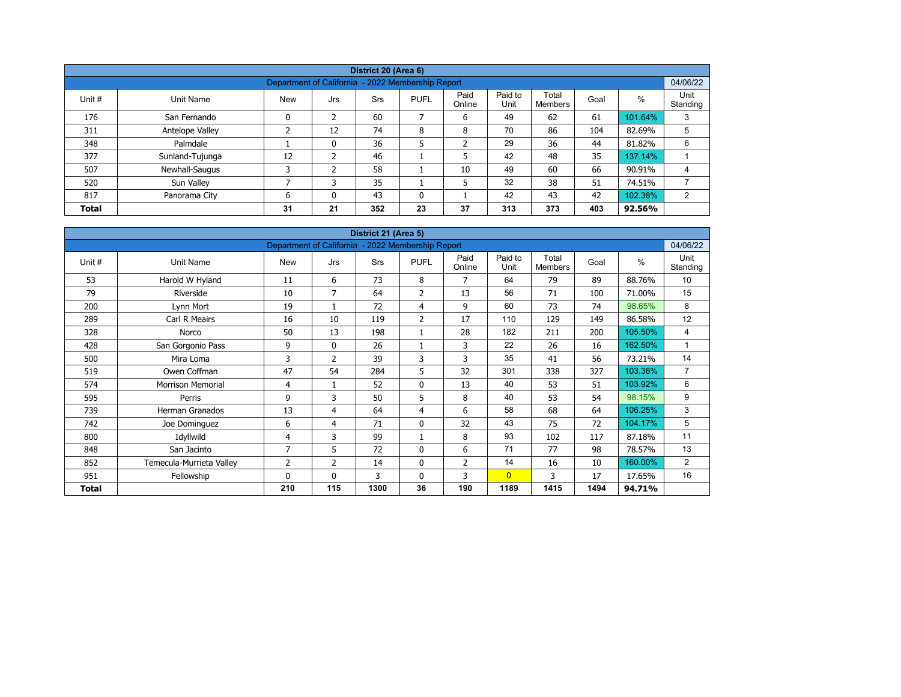|              |                                                               |            |     | District 20 (Area 6) |              |                |                 |                  |      |         |                  |  |  |  |  |
|--------------|---------------------------------------------------------------|------------|-----|----------------------|--------------|----------------|-----------------|------------------|------|---------|------------------|--|--|--|--|
|              | 04/06/22<br>Department of California - 2022 Membership Report |            |     |                      |              |                |                 |                  |      |         |                  |  |  |  |  |
| Unit #       | Unit Name                                                     | <b>New</b> | Jrs | <b>Srs</b>           | <b>PUFL</b>  | Paid<br>Online | Paid to<br>Unit | Total<br>Members | Goal | %       | Unit<br>Standing |  |  |  |  |
| 176          | San Fernando                                                  | 0          | 2   | 60                   | 7            | 6              | 49              | 62               | 61   | 101.64% | 3                |  |  |  |  |
| 311          | Antelope Valley                                               | ∍          | 12  | 74                   | 8            | 8              | 70              | 86               | 104  | 82.69%  | 5                |  |  |  |  |
| 348          | Palmdale                                                      |            | 0   | 36                   | 5            | $\overline{2}$ | 29              | 36               | 44   | 81.82%  | 6                |  |  |  |  |
| 377          | Sunland-Tujunga                                               | 12         | 2   | 46                   |              | 5              | 42              | 48               | 35   | 137.14% |                  |  |  |  |  |
| 507          | Newhall-Saugus                                                | 3          | 2   | 58                   |              | 10             | 49              | 60               | 66   | 90.91%  | 4                |  |  |  |  |
| 520          | Sun Valley                                                    | ⇁          |     | 35                   |              | 5              | 32              | 38               | 51   | 74.51%  |                  |  |  |  |  |
| 817          | Panorama City                                                 | 6          | 0   | 43                   | $\mathbf{0}$ |                | 42              | 43               | 42   | 102.38% | 2                |  |  |  |  |
| <b>Total</b> |                                                               | 31         | 21  | 352                  | 23           | 37             | 313             | 373              | 403  | 92.56%  |                  |  |  |  |  |

| District 21 (Area 5) |                          |                                                   |                |            |                |                |                 |                         |      |               |                  |  |  |
|----------------------|--------------------------|---------------------------------------------------|----------------|------------|----------------|----------------|-----------------|-------------------------|------|---------------|------------------|--|--|
|                      |                          | Department of California - 2022 Membership Report |                |            |                |                |                 |                         |      |               | 04/06/22         |  |  |
| Unit #               | <b>Unit Name</b>         | <b>New</b>                                        | Jrs            | <b>Srs</b> | <b>PUFL</b>    | Paid<br>Online | Paid to<br>Unit | Total<br><b>Members</b> | Goal | $\frac{0}{0}$ | Unit<br>Standing |  |  |
| 53                   | Harold W Hyland          | 11                                                | 6              | 73         | 8              | 7              | 64              | 79                      | 89   | 88.76%        | 10               |  |  |
| 79                   | Riverside                | 10                                                | 7              | 64         | 2              | 13             | 56              | 71                      | 100  | 71.00%        | 15               |  |  |
| 200                  | Lynn Mort                | 19                                                |                | 72         | 4              | 9              | 60              | 73                      | 74   | 98.65%        | 8                |  |  |
| 289                  | Carl R Meairs            | 16                                                | 10             | 119        | $\overline{2}$ | 17             | 110             | 129                     | 149  | 86.58%        | 12               |  |  |
| 328                  | Norco                    | 50                                                | 13             | 198        | 1              | 28             | 182             | 211                     | 200  | 105.50%       | 4                |  |  |
| 428                  | San Gorgonio Pass        | 9                                                 | $\mathbf{0}$   | 26         | 1              | 3              | 22              | 26                      | 16   | 162.50%       | 1                |  |  |
| 500                  | Mira Loma                | 3                                                 | $\overline{2}$ | 39         | 3              | 3              | 35              | 41                      | 56   | 73.21%        | 14               |  |  |
| 519                  | Owen Coffman             | 47                                                | 54             | 284        | 5              | 32             | 301             | 338                     | 327  | 103.36%       | $\overline{7}$   |  |  |
| 574                  | <b>Morrison Memorial</b> | 4                                                 | $\mathbf{1}$   | 52         | 0              | 13             | 40              | 53                      | 51   | 103.92%       | 6                |  |  |
| 595                  | Perris                   | 9                                                 | 3              | 50         | 5              | 8              | 40              | 53                      | 54   | 98.15%        | 9                |  |  |
| 739                  | <b>Herman Granados</b>   | 13                                                | 4              | 64         | 4              | 6              | 58              | 68                      | 64   | 106.25%       | 3                |  |  |
| 742                  | Joe Dominguez            | 6                                                 | 4              | 71         | $\mathbf 0$    | 32             | 43              | 75                      | 72   | 104.17%       | 5                |  |  |
| 800                  | Idyllwild                | 4                                                 | 3              | 99         | $\mathbf{1}$   | 8              | 93              | 102                     | 117  | 87.18%        | 11               |  |  |
| 848                  | San Jacinto              | $\overline{7}$                                    | 5              | 72         | $\mathbf 0$    | 6              | 71              | 77                      | 98   | 78.57%        | 13               |  |  |
| 852                  | Temecula-Murrieta Valley | 2                                                 | 2              | 14         | 0              | $\overline{2}$ | 14              | 16                      | 10   | 160.00%       | $\overline{2}$   |  |  |
| 951                  | Fellowship               | $\Omega$                                          | $\mathbf{0}$   | 3          | $\mathbf{0}$   | 3              | $\overline{0}$  | 3                       | 17   | 17.65%        | 16               |  |  |
| Total                |                          | 210                                               | 115            | 1300       | 36             | 190            | 1189            | 1415                    | 1494 | 94.71%        |                  |  |  |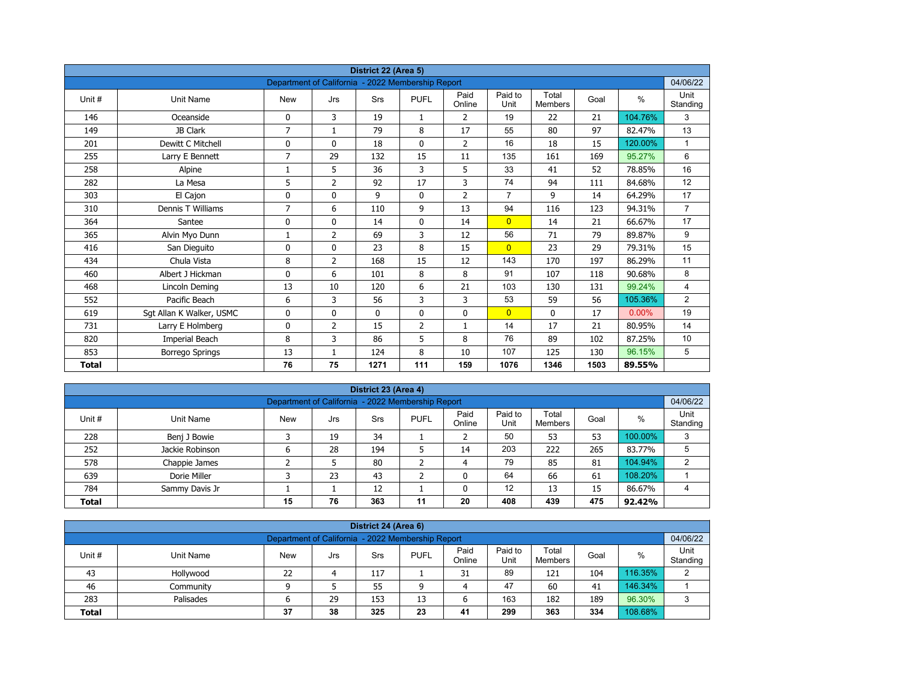| District 22 (Area 5) |                          |                                                   |                |             |                |                |                 |                         |      |          |                  |  |  |
|----------------------|--------------------------|---------------------------------------------------|----------------|-------------|----------------|----------------|-----------------|-------------------------|------|----------|------------------|--|--|
|                      |                          | Department of California - 2022 Membership Report |                |             |                |                |                 |                         |      |          | 04/06/22         |  |  |
| Unit#                | <b>Unit Name</b>         | <b>New</b>                                        | Jrs            | Srs         | <b>PUFL</b>    | Paid<br>Online | Paid to<br>Unit | Total<br><b>Members</b> | Goal | $\%$     | Unit<br>Standing |  |  |
| 146                  | Oceanside                | 0                                                 | 3              | 19          | $\mathbf{1}$   | 2              | 19              | 22                      | 21   | 104.76%  | 3                |  |  |
| 149                  | JB Clark                 | $\overline{7}$                                    | $\mathbf{1}$   | 79          | 8              | 17             | 55              | 80                      | 97   | 82.47%   | 13               |  |  |
| 201                  | Dewitt C Mitchell        | 0                                                 | $\mathbf{0}$   | 18          | $\mathbf{0}$   | $\overline{2}$ | 16              | 18                      | 15   | 120.00%  | $\mathbf{1}$     |  |  |
| 255                  | Larry E Bennett          | $\overline{7}$                                    | 29             | 132         | 15             | 11             | 135             | 161                     | 169  | 95.27%   | 6                |  |  |
| 258                  | Alpine                   | 1                                                 | 5              | 36          | 3              | 5              | 33              | 41                      | 52   | 78.85%   | 16               |  |  |
| 282                  | La Mesa                  | 5                                                 | $\overline{2}$ | 92          | 17             | 3              | 74              | 94                      | 111  | 84.68%   | 12               |  |  |
| 303                  | El Cajon                 | 0                                                 | 0              | 9           | $\mathbf 0$    | $\overline{2}$ | $\overline{7}$  | 9                       | 14   | 64.29%   | 17               |  |  |
| 310                  | Dennis T Williams        | 7                                                 | 6              | 110         | 9              | 13             | 94              | 116                     | 123  | 94.31%   | $\overline{7}$   |  |  |
| 364                  | Santee                   | 0                                                 | 0              | 14          | $\mathbf 0$    | 14             | $\overline{0}$  | 14                      | 21   | 66.67%   | 17               |  |  |
| 365                  | Alvin Myo Dunn           | 1                                                 | $\overline{2}$ | 69          | 3              | 12             | 56              | 71                      | 79   | 89.87%   | 9                |  |  |
| 416                  | San Dieguito             | 0                                                 | $\Omega$       | 23          | 8              | 15             | $\overline{0}$  | 23                      | 29   | 79.31%   | 15               |  |  |
| 434                  | Chula Vista              | 8                                                 | $\overline{2}$ | 168         | 15             | 12             | 143             | 170                     | 197  | 86.29%   | 11               |  |  |
| 460                  | Albert J Hickman         | 0                                                 | 6              | 101         | 8              | 8              | 91              | 107                     | 118  | 90.68%   | 8                |  |  |
| 468                  | Lincoln Deming           | 13                                                | 10             | 120         | 6              | 21             | 103             | 130                     | 131  | 99.24%   | $\overline{4}$   |  |  |
| 552                  | Pacific Beach            | 6                                                 | 3              | 56          | 3              | 3              | 53              | 59                      | 56   | 105.36%  | $\overline{2}$   |  |  |
| 619                  | Sgt Allan K Walker, USMC | 0                                                 | 0              | $\mathbf 0$ | $\mathbf 0$    | 0              | $\overline{0}$  | 0                       | 17   | $0.00\%$ | 19               |  |  |
| 731                  | Larry E Holmberg         | 0                                                 | 2              | 15          | $\overline{2}$ | $\mathbf{1}$   | 14              | 17                      | 21   | 80.95%   | 14               |  |  |
| 820                  | Imperial Beach           | 8                                                 | 3              | 86          | 5              | 8              | 76              | 89                      | 102  | 87.25%   | 10               |  |  |
| 853                  | <b>Borrego Springs</b>   | 13                                                | 1              | 124         | 8              | 10             | 107             | 125                     | 130  | 96.15%   | 5                |  |  |
| <b>Total</b>         |                          | 76                                                | 75             | 1271        | 111            | 159            | 1076            | 1346                    | 1503 | 89.55%   |                  |  |  |

| District 23 (Area 4)                                                                                                                                   |                 |   |    |     |   |    |     |     |     |         |   |  |  |
|--------------------------------------------------------------------------------------------------------------------------------------------------------|-----------------|---|----|-----|---|----|-----|-----|-----|---------|---|--|--|
| Department of California - 2022 Membership Report                                                                                                      |                 |   |    |     |   |    |     |     |     |         |   |  |  |
| Paid<br>Paid to<br>Total<br><b>PUFL</b><br>%<br>Unit#<br>Goal<br>Unit Name<br><b>New</b><br>Srs<br>Jrs<br>Unit<br>Standing<br>Online<br><b>Members</b> |                 |   |    |     |   |    |     |     |     |         |   |  |  |
| 228                                                                                                                                                    | Benj J Bowie    |   | 19 | 34  |   |    | 50  | 53  | 53  | 100.00% | 3 |  |  |
| 252                                                                                                                                                    | Jackie Robinson | 6 | 28 | 194 | כ | 14 | 203 | 222 | 265 | 83.77%  | 5 |  |  |
| 578                                                                                                                                                    | Chappie James   |   |    | 80  | ∍ | 4  | 79  | 85  | 81  | 104.94% | 2 |  |  |
| 639                                                                                                                                                    | Dorie Miller    |   | 23 | 43  | ╮ |    | 64  | 66  | 61  | 108.20% |   |  |  |
| 12<br>12<br>13<br>86.67%<br>784<br>15<br>Sammy Davis Jr                                                                                                |                 |   |    |     |   |    |     |     |     |         |   |  |  |
| 76<br>475<br>363<br>20<br>408<br>439<br>15<br>11<br>92.42%<br><b>Total</b>                                                                             |                 |   |    |     |   |    |     |     |     |         |   |  |  |

| District 24 (Area 6)                                                                                                                      |                                                               |    |  |     |   |    |    |     |     |         |   |  |  |  |
|-------------------------------------------------------------------------------------------------------------------------------------------|---------------------------------------------------------------|----|--|-----|---|----|----|-----|-----|---------|---|--|--|--|
|                                                                                                                                           | Department of California - 2022 Membership Report<br>04/06/22 |    |  |     |   |    |    |     |     |         |   |  |  |  |
| Paid<br>Paid to<br>Total<br><b>PUFL</b><br>%<br>Unit #<br>Goal<br>Unit Name<br>Srs<br>New<br>Jrs<br>Unit<br>Standing<br>Online<br>Members |                                                               |    |  |     |   |    |    |     |     |         |   |  |  |  |
| 43                                                                                                                                        | Hollywood                                                     | 22 |  | 117 |   | 31 | 89 | 121 | 104 | 116.35% | C |  |  |  |
| 46                                                                                                                                        | Community                                                     |    |  | 55  | a | 4  | 47 | 60  | 41  | 146.34% |   |  |  |  |
| 96.30%<br>163<br>29<br>189<br>283<br>153<br>182<br>Palisades<br>13<br>ס                                                                   |                                                               |    |  |     |   |    |    |     |     |         |   |  |  |  |
| 38<br>108.68%<br>299<br>325<br>23<br>363<br>334<br>37<br>41<br><b>Total</b>                                                               |                                                               |    |  |     |   |    |    |     |     |         |   |  |  |  |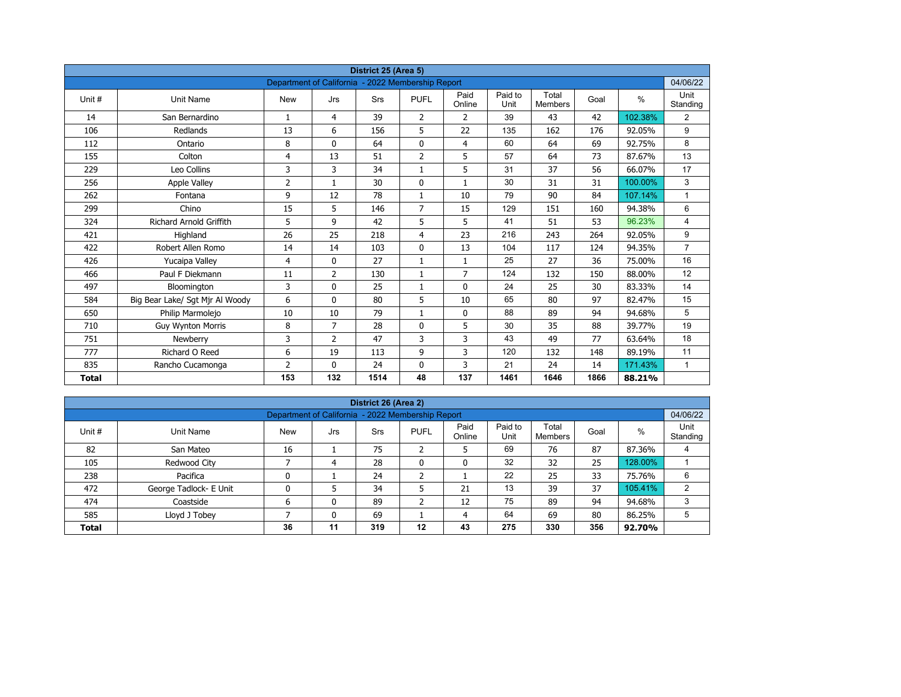| District 25 (Area 5) |                                 |                                                   |                |            |                |                |                 |                         |      |         |                  |  |  |
|----------------------|---------------------------------|---------------------------------------------------|----------------|------------|----------------|----------------|-----------------|-------------------------|------|---------|------------------|--|--|
|                      |                                 | Department of California - 2022 Membership Report |                |            |                |                |                 |                         |      |         | 04/06/22         |  |  |
| Unit #               | Unit Name                       | <b>New</b>                                        | Jrs            | <b>Srs</b> | <b>PUFL</b>    | Paid<br>Online | Paid to<br>Unit | Total<br><b>Members</b> | Goal | $\%$    | Unit<br>Standing |  |  |
| 14                   | San Bernardino                  | $\mathbf{1}$                                      | 4              | 39         | $\overline{2}$ | $\overline{2}$ | 39              | 43                      | 42   | 102.38% | $\overline{2}$   |  |  |
| 106                  | Redlands                        | 13                                                | 6              | 156        | 5              | 22             | 135             | 162                     | 176  | 92.05%  | 9                |  |  |
| 112                  | Ontario                         | 8                                                 | $\Omega$       | 64         | $\mathbf 0$    | $\overline{4}$ | 60              | 64                      | 69   | 92.75%  | 8                |  |  |
| 155                  | Colton                          | 4                                                 | 13             | 51         | $\overline{2}$ | 5              | 57              | 64                      | 73   | 87.67%  | 13               |  |  |
| 229                  | Leo Collins                     | 3                                                 | 3              | 34         | $\mathbf{1}$   | 5              | 31              | 37                      | 56   | 66.07%  | 17               |  |  |
| 256                  | <b>Apple Valley</b>             | 2                                                 | $\mathbf{1}$   | 30         | $\mathbf{0}$   | $\mathbf{1}$   | 30              | 31                      | 31   | 100.00% | 3                |  |  |
| 262                  | Fontana                         | 9                                                 | 12             | 78         | $\mathbf{1}$   | 10             | 79              | 90                      | 84   | 107.14% | $\mathbf{1}$     |  |  |
| 299                  | Chino                           | 15                                                | 5              | 146        | $\overline{7}$ | 15             | 129             | 151                     | 160  | 94.38%  | 6                |  |  |
| 324                  | <b>Richard Arnold Griffith</b>  | 5                                                 | 9              | 42         | 5              | 5              | 41              | 51                      | 53   | 96.23%  | 4                |  |  |
| 421                  | Highland                        | 26                                                | 25             | 218        | 4              | 23             | 216             | 243                     | 264  | 92.05%  | 9                |  |  |
| 422                  | Robert Allen Romo               | 14                                                | 14             | 103        | $\mathbf{0}$   | 13             | 104             | 117                     | 124  | 94.35%  | $\overline{7}$   |  |  |
| 426                  | Yucaipa Valley                  | 4                                                 | $\Omega$       | 27         | $\mathbf{1}$   | $\mathbf{1}$   | 25              | 27                      | 36   | 75.00%  | 16               |  |  |
| 466                  | Paul F Diekmann                 | 11                                                | $\overline{2}$ | 130        | $\mathbf{1}$   | $\overline{7}$ | 124             | 132                     | 150  | 88.00%  | 12               |  |  |
| 497                  | Bloomington                     | 3                                                 | 0              | 25         | $\mathbf{1}$   | $\mathbf 0$    | 24              | 25                      | 30   | 83.33%  | 14               |  |  |
| 584                  | Big Bear Lake/ Sgt Mjr Al Woody | 6                                                 | $\mathbf{0}$   | 80         | 5              | 10             | 65              | 80                      | 97   | 82.47%  | 15               |  |  |
| 650                  | Philip Marmolejo                | 10                                                | 10             | 79         | $\mathbf{1}$   | 0              | 88              | 89                      | 94   | 94.68%  | 5                |  |  |
| 710                  | <b>Guy Wynton Morris</b>        | 8                                                 | $\overline{7}$ | 28         | $\mathbf{0}$   | 5              | 30              | 35                      | 88   | 39.77%  | 19               |  |  |
| 751                  | Newberry                        | 3                                                 | $\overline{2}$ | 47         | 3              | 3              | 43              | 49                      | 77   | 63.64%  | 18               |  |  |
| 777                  | Richard O Reed                  | 6                                                 | 19             | 113        | 9              | 3              | 120             | 132                     | 148  | 89.19%  | 11               |  |  |
| 835                  | Rancho Cucamonga                | $\overline{2}$                                    | $\mathbf{0}$   | 24         | 0              | 3              | 21              | 24                      | 14   | 171.43% | $\mathbf{1}$     |  |  |
| <b>Total</b>         |                                 | 153                                               | 132            | 1514       | 48             | 137            | 1461            | 1646                    | 1866 | 88.21%  |                  |  |  |

| District 26 (Area 2) |                                                               |            |     |     |              |                |                 |                  |      |         |                  |  |  |  |  |
|----------------------|---------------------------------------------------------------|------------|-----|-----|--------------|----------------|-----------------|------------------|------|---------|------------------|--|--|--|--|
|                      | Department of California - 2022 Membership Report<br>04/06/22 |            |     |     |              |                |                 |                  |      |         |                  |  |  |  |  |
| Unit #               | Unit Name                                                     | <b>New</b> | Jrs | Srs | <b>PUFL</b>  | Paid<br>Online | Paid to<br>Unit | Total<br>Members | Goal | %       | Unit<br>Standing |  |  |  |  |
| 82                   | San Mateo                                                     | 16         |     | 75  | h<br>∠       | 5              | 69              | 76               | 87   | 87.36%  | 4                |  |  |  |  |
| 105                  | Redwood City                                                  |            | 4   | 28  | $\mathbf{0}$ | 0              | 32              | 32               | 25   | 128.00% |                  |  |  |  |  |
| 238                  | Pacifica                                                      | 0          |     | 24  | h<br>ے       |                | 22              | 25               | 33   | 75.76%  | 6                |  |  |  |  |
| 472                  | George Tadlock- E Unit                                        | 0          |     | 34  |              | 21             | 13              | 39               | 37   | 105.41% | 2                |  |  |  |  |
| 474                  | Coastside                                                     | 6          | 0   | 89  | ำ<br>∠       | 12             | 75              | 89               | 94   | 94.68%  | 3                |  |  |  |  |
| 585                  | Lloyd J Tobey                                                 |            | 0   | 69  |              | 4              | 64              | 69               | 80   | 86.25%  | 5                |  |  |  |  |
| <b>Total</b>         |                                                               | 36         | 11  | 319 | 12           | 43             | 275             | 330              | 356  | 92.70%  |                  |  |  |  |  |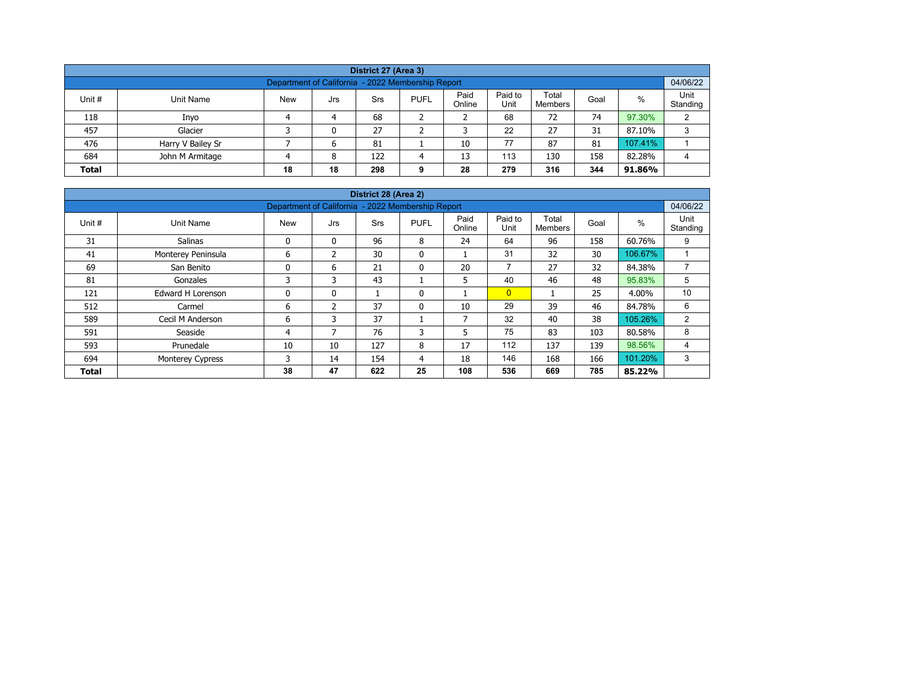| District 27 (Area 3)                                                                                                                                    |                   |  |   |    |  |    |    |    |    |         |   |  |  |  |
|---------------------------------------------------------------------------------------------------------------------------------------------------------|-------------------|--|---|----|--|----|----|----|----|---------|---|--|--|--|
| Department of California - 2022 Membership Report                                                                                                       |                   |  |   |    |  |    |    |    |    |         |   |  |  |  |
| Paid<br>Paid to<br>Total<br>%<br>Unit #<br><b>New</b><br><b>PUFL</b><br>Unit Name<br>Srs<br>Goal<br>Jrs<br>Unit<br>Online<br>Standing<br><b>Members</b> |                   |  |   |    |  |    |    |    |    |         |   |  |  |  |
| 118                                                                                                                                                     | Inyo              |  | 4 | 68 |  |    | 68 | 72 | 74 | 97.30%  | C |  |  |  |
| 457                                                                                                                                                     | Glacier           |  | 0 | 27 |  |    | 22 | 27 | 31 | 87.10%  | 3 |  |  |  |
| 476                                                                                                                                                     | Harry V Bailey Sr |  | 6 | 81 |  | 10 | 77 | 87 | 81 | 107.41% |   |  |  |  |
| 684<br>113<br>158<br>82.28%<br>John M Armitage<br>122<br>13<br>130<br>8<br>Δ                                                                            |                   |  |   |    |  |    |    |    |    |         |   |  |  |  |
| 18<br>344<br>279<br>28<br>316<br><b>Total</b><br>18<br>298<br>91.86%<br>9                                                                               |                   |  |   |    |  |    |    |    |    |         |   |  |  |  |

| District 28 (Area 2)                                                        |                          |                                                   |                |            |              |                |                 |                         |      |         |                  |  |  |  |
|-----------------------------------------------------------------------------|--------------------------|---------------------------------------------------|----------------|------------|--------------|----------------|-----------------|-------------------------|------|---------|------------------|--|--|--|
|                                                                             |                          | Department of California - 2022 Membership Report |                |            |              |                |                 |                         |      |         | 04/06/22         |  |  |  |
| Unit #                                                                      | Unit Name                | <b>New</b>                                        | Jrs            | <b>Srs</b> | <b>PUFL</b>  | Paid<br>Online | Paid to<br>Unit | Total<br><b>Members</b> | Goal | $\%$    | Unit<br>Standing |  |  |  |
| 31                                                                          | <b>Salinas</b>           | 0                                                 | $\mathbf{0}$   | 96         | 8            | 24             | 64              | 96                      | 158  | 60.76%  | 9                |  |  |  |
| 41                                                                          | Monterey Peninsula       | 6                                                 | $\mathfrak z$  | 30         | $\mathbf{0}$ |                | 31              | 32                      | 30   | 106.67% |                  |  |  |  |
| 69                                                                          | San Benito               | 0                                                 | 6              | 21         | $\mathbf{0}$ | 20             | $\overline{7}$  | 27                      | 32   | 84.38%  | $\overline{ }$   |  |  |  |
| 81                                                                          | Gonzales                 | 3                                                 | 3              | 43         |              | 5              | 40              | 46                      | 48   | 95.83%  | 5                |  |  |  |
| 121                                                                         | <b>Edward H Lorenson</b> | 0                                                 | 0              |            | 0            |                | $\overline{0}$  |                         | 25   | 4.00%   | 10               |  |  |  |
| 512                                                                         | Carmel                   | 6                                                 | $\overline{2}$ | 37         | 0            | 10             | 29              | 39                      | 46   | 84.78%  | 6                |  |  |  |
| 589                                                                         | Cecil M Anderson         | 6                                                 | 3              | 37         |              | 7              | 32              | 40                      | 38   | 105.26% | 2                |  |  |  |
| 591                                                                         | Seaside                  | 4                                                 | 7              | 76         | 3            | 5              | 75              | 83                      | 103  | 80.58%  | 8                |  |  |  |
| 593                                                                         | Prunedale                | 10                                                | 10             | 127        | 8            | 17             | 112             | 137                     | 139  | 98.56%  | 4                |  |  |  |
| 694                                                                         | Monterey Cypress         | 3                                                 | 14             | 154        | 4            | 18             | 146             | 168                     | 166  | 101.20% | 3                |  |  |  |
| 47<br>25<br>785<br>38<br>622<br>108<br>536<br>669<br>85.22%<br><b>Total</b> |                          |                                                   |                |            |              |                |                 |                         |      |         |                  |  |  |  |